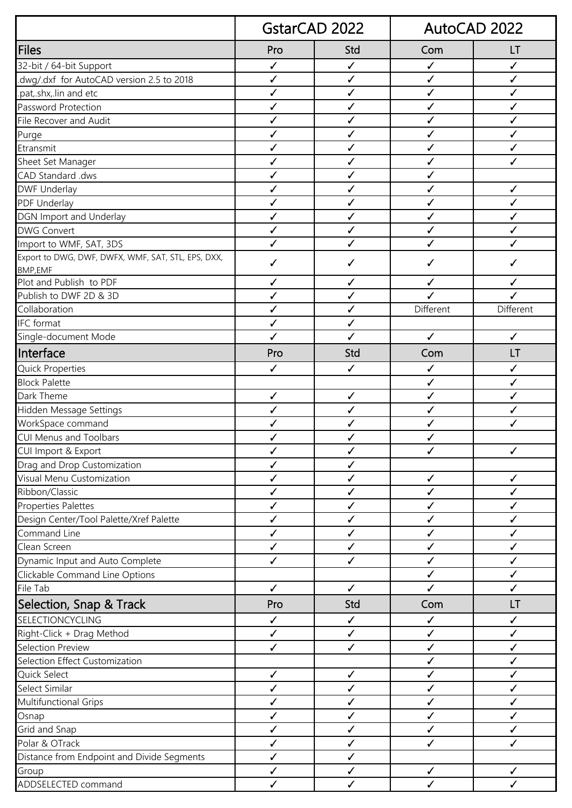|                                                    | <b>GstarCAD 2022</b> |              | AutoCAD 2022 |              |
|----------------------------------------------------|----------------------|--------------|--------------|--------------|
| Files                                              | Pro                  | Std          | Com          | LT           |
| 32-bit / 64-bit Support                            | $\checkmark$         | $\checkmark$ | $\checkmark$ | $\checkmark$ |
| dwg/.dxf for AutoCAD version 2.5 to 2018.          | ✓                    | $\checkmark$ | ✓            | ✓            |
| .pat,.shx,.lin and etc                             | $\checkmark$         | $\checkmark$ | $\checkmark$ | $\checkmark$ |
| Password Protection                                | $\checkmark$         | $\checkmark$ | $\checkmark$ | $\checkmark$ |
| File Recover and Audit                             | ✓                    | ✓            | ✓            | ✓            |
| Purge                                              | ✓                    | $\checkmark$ | $\checkmark$ | ✓            |
| Etransmit                                          | $\checkmark$         | $\checkmark$ | $\checkmark$ | ✓            |
| Sheet Set Manager                                  | ✓                    | ✓            | ✓            | $\checkmark$ |
| CAD Standard .dws                                  | $\checkmark$         | $\checkmark$ | ✓            |              |
| <b>DWF Underlay</b>                                | ✓                    | √            | ✓            | ✓            |
| PDF Underlay                                       | $\checkmark$         | $\checkmark$ | ✓            | $\checkmark$ |
| DGN Import and Underlay                            | $\checkmark$         | $\checkmark$ | $\checkmark$ | ✓            |
| <b>DWG Convert</b>                                 | ✓                    | ✓            | ✓            | ✓            |
| Import to WMF, SAT, 3DS                            | ✓                    | ✓            | ✓            | ✓            |
| Export to DWG, DWF, DWFX, WMF, SAT, STL, EPS, DXX, | ✓                    | ✓            | ✓            | ✓            |
| <b>BMP,EMF</b>                                     |                      |              |              |              |
| Plot and Publish to PDF                            | ✓                    | ✓            | ✓            | ✓            |
| Publish to DWF 2D & 3D                             | ✓                    | ✓            | J            | $\checkmark$ |
| Collaboration                                      | ✓                    | ✓            | Different    | Different    |
| <b>IFC</b> format                                  | $\checkmark$         | $\checkmark$ |              |              |
| Single-document Mode                               | $\checkmark$         | $\checkmark$ | $\checkmark$ | $\checkmark$ |
| Interface                                          | Pro                  | Std          | Com          | LT           |
| <b>Quick Properties</b>                            | $\checkmark$         | ✓            | $\checkmark$ | ✓            |
| <b>Block Palette</b>                               |                      |              | $\checkmark$ | $\checkmark$ |
| Dark Theme                                         | $\checkmark$         | $\checkmark$ | $\checkmark$ | ✓            |
| Hidden Message Settings                            | $\checkmark$         | $\checkmark$ | $\checkmark$ | $\checkmark$ |
| WorkSpace command                                  | ✓                    | ✓            | ✓            | ✓            |
| <b>CUI Menus and Toolbars</b>                      | ✓                    | ✓            | ✓            |              |
| CUI Import & Export                                | $\checkmark$         | $\checkmark$ | $\checkmark$ | ✓            |
| Drag and Drop Customization                        | $\checkmark$         | ✓            |              |              |
| Visual Menu Customization                          | ✓                    | ✓            | $\checkmark$ | ✓            |
| Ribbon/Classic                                     | $\checkmark$         | $\checkmark$ | $\checkmark$ | $\checkmark$ |
| <b>Properties Palettes</b>                         | $\checkmark$         | ✓            | $\checkmark$ | ✓            |
| Design Center/Tool Palette/Xref Palette            | $\checkmark$         | $\checkmark$ | $\checkmark$ | $\checkmark$ |
| Command Line                                       | $\checkmark$         | $\checkmark$ | $\checkmark$ | $\checkmark$ |
| Clean Screen                                       | $\checkmark$         | $\checkmark$ | ✓            | ✓            |
| Dynamic Input and Auto Complete                    | $\checkmark$         | $\checkmark$ | $\checkmark$ | $\checkmark$ |
| Clickable Command Line Options                     |                      |              | $\checkmark$ | $\checkmark$ |
| File Tab                                           | $\checkmark$         | $\checkmark$ | $\checkmark$ | $\checkmark$ |
| Selection, Snap & Track                            | Pro                  | Std          | Com          | LT           |
| SELECTIONCYCLING                                   | $\checkmark$         | $\checkmark$ | $\checkmark$ | $\checkmark$ |
| Right-Click + Drag Method                          | $\checkmark$         | $\checkmark$ | $\checkmark$ | ✓            |
| Selection Preview                                  | $\checkmark$         | $\checkmark$ | $\checkmark$ | $\checkmark$ |
| Selection Effect Customization                     |                      |              | ✓            | ✓            |
| Quick Select                                       | $\checkmark$         | $\checkmark$ | $\checkmark$ | $\checkmark$ |
| Select Similar                                     | $\checkmark$         | $\checkmark$ | $\checkmark$ | $\checkmark$ |
| Multifunctional Grips                              | $\checkmark$         | ✓            | $\checkmark$ | ✓            |
| Osnap                                              | ✓                    | $\checkmark$ | $\checkmark$ | ✓            |
| Grid and Snap                                      | $\checkmark$         | $\checkmark$ | $\checkmark$ | $\checkmark$ |
| Polar & OTrack                                     | $\checkmark$         | ✓            | ✓            | ✓            |
| Distance from Endpoint and Divide Segments         | $\checkmark$         | $\checkmark$ |              |              |
| Group                                              | $\checkmark$         | ✓            | ✓            | ✓            |
| ADDSELECTED command                                | $\checkmark$         | $\checkmark$ | ✓            | $\checkmark$ |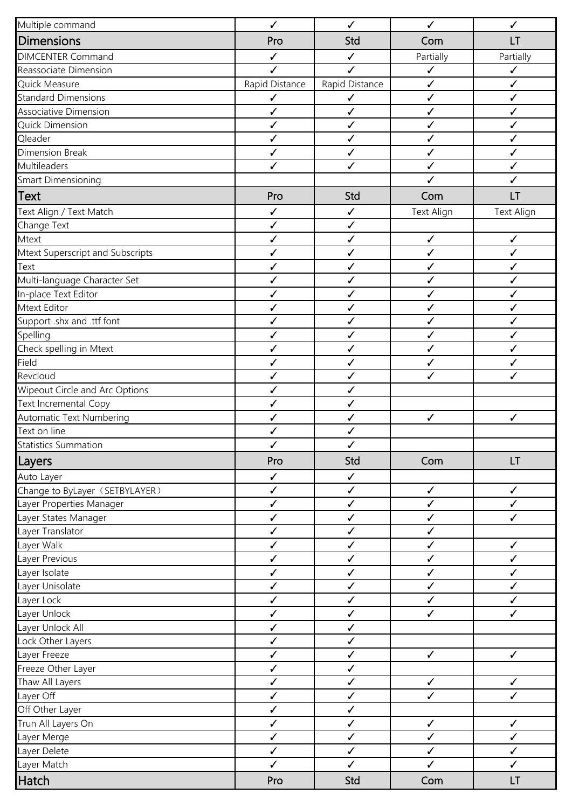| Multiple command                 | $\checkmark$                 | $\checkmark$                 | $\checkmark$                 | ✓                            |
|----------------------------------|------------------------------|------------------------------|------------------------------|------------------------------|
| Dimensions                       | Pro                          | Std                          | Com                          | LT                           |
| <b>DIMCENTER Command</b>         | $\checkmark$                 | $\checkmark$                 | Partially                    | Partially                    |
| Reassociate Dimension            | ✓                            | ✓                            | $\checkmark$                 | ✓                            |
| Quick Measure                    | Rapid Distance               | Rapid Distance               | $\checkmark$                 | $\checkmark$                 |
| <b>Standard Dimensions</b>       | $\checkmark$                 | $\checkmark$                 | $\checkmark$                 | $\checkmark$                 |
| Associative Dimension            | $\checkmark$                 | ✓                            | $\checkmark$                 | $\checkmark$                 |
| <b>Quick Dimension</b>           | $\checkmark$                 | $\checkmark$                 | $\checkmark$                 | ✓                            |
| Qleader                          | $\checkmark$                 | $\checkmark$                 | $\checkmark$                 | ✓                            |
| <b>Dimension Break</b>           | $\checkmark$                 | $\checkmark$                 | ✓                            | ✓                            |
| Multileaders                     | $\checkmark$                 | $\checkmark$                 | $\checkmark$                 | ✓                            |
| Smart Dimensioning               |                              |                              | ✓                            | ✓                            |
| <b>Text</b>                      | Pro                          | Std                          | Com                          | LT                           |
| Text Align / Text Match          | $\checkmark$                 | $\checkmark$                 | <b>Text Align</b>            | <b>Text Align</b>            |
| Change Text                      | $\checkmark$                 | $\checkmark$                 |                              |                              |
| Mtext                            | $\checkmark$                 | ✓                            | $\checkmark$                 | $\checkmark$                 |
| Mtext Superscript and Subscripts | $\checkmark$                 | $\checkmark$                 | $\checkmark$                 | $\checkmark$                 |
| Text                             | ✓                            | ✓                            | ✓                            | ✓                            |
| Multi-language Character Set     | $\checkmark$                 | $\checkmark$                 | $\checkmark$                 | $\checkmark$                 |
| In-place Text Editor             | $\checkmark$                 | $\checkmark$                 | ✓                            | ✓                            |
| Mtext Editor                     | ✓                            | ✓                            | ✓                            | $\checkmark$                 |
| Support .shx and .ttf font       | ✓                            | ✓                            | $\checkmark$                 | ✓                            |
| Spelling                         | $\checkmark$                 | ✓                            | ✓                            | ✓                            |
| Check spelling in Mtext          | $\checkmark$                 | $\checkmark$                 | $\checkmark$                 | $\checkmark$                 |
| Field                            | $\checkmark$                 | $\checkmark$                 | $\checkmark$                 | ✓                            |
| Revcloud                         | $\checkmark$                 | ✓                            | ✓                            | ✓                            |
| Wipeout Circle and Arc Options   | ✓                            | $\checkmark$                 |                              |                              |
| Text Incremental Copy            | $\checkmark$                 | $\checkmark$                 |                              |                              |
| Automatic Text Numbering         | ✓                            | ✓                            | $\checkmark$                 | $\checkmark$                 |
| Text on line                     | $\checkmark$                 | $\checkmark$                 |                              |                              |
| <b>Statistics Summation</b>      |                              | ✓                            |                              |                              |
| Layers                           | Pro                          | Std                          | Com                          | LT                           |
| Auto Layer                       | $\checkmark$                 | $\checkmark$                 |                              |                              |
| Change to ByLayer (SETBYLAYER)   | $\checkmark$                 | $\checkmark$                 | $\checkmark$                 | $\checkmark$                 |
| Layer Properties Manager         | $\checkmark$                 | $\checkmark$                 | $\checkmark$                 | ✓                            |
| Layer States Manager             | $\checkmark$                 | $\checkmark$                 | $\checkmark$                 | $\checkmark$                 |
| Layer Translator                 | $\checkmark$                 | $\checkmark$                 | $\checkmark$                 |                              |
| Layer Walk                       | $\checkmark$                 | $\checkmark$                 | $\checkmark$                 | $\checkmark$                 |
| Layer Previous                   | $\checkmark$                 | $\checkmark$                 | $\checkmark$                 | $\checkmark$                 |
| Layer Isolate                    | $\checkmark$                 | $\checkmark$                 | ✓                            | ✓                            |
| Layer Unisolate                  | $\checkmark$                 | $\checkmark$                 | $\checkmark$                 | $\checkmark$                 |
| Layer Lock                       | $\checkmark$                 | $\checkmark$                 | $\checkmark$                 | $\checkmark$                 |
| Layer Unlock                     | $\checkmark$                 | $\checkmark$                 | $\checkmark$                 | $\checkmark$                 |
| Layer Unlock All                 | $\checkmark$                 | $\checkmark$                 |                              |                              |
| Lock Other Layers                | $\checkmark$                 | $\checkmark$                 |                              |                              |
| Layer Freeze                     | $\checkmark$                 | $\checkmark$                 | $\checkmark$                 | $\checkmark$                 |
| Freeze Other Layer               | $\checkmark$                 | $\checkmark$                 |                              |                              |
| Thaw All Layers                  | $\checkmark$                 | $\checkmark$                 | $\checkmark$<br>$\checkmark$ | $\checkmark$<br>$\checkmark$ |
| Layer Off                        | $\checkmark$                 | $\checkmark$                 |                              |                              |
| Off Other Layer                  | $\checkmark$<br>$\checkmark$ | $\checkmark$<br>$\checkmark$ | $\checkmark$                 | $\checkmark$                 |
| Trun All Layers On               | $\checkmark$                 | $\checkmark$                 | $\checkmark$                 | $\checkmark$                 |
| Layer Merge<br>Layer Delete      | $\checkmark$                 | $\checkmark$                 | $\checkmark$                 | $\checkmark$                 |
| Layer Match                      | $\checkmark$                 | $\checkmark$                 | $\checkmark$                 | $\checkmark$                 |
|                                  |                              |                              |                              |                              |
| Hatch                            | Pro                          | Std                          | Com                          | LT                           |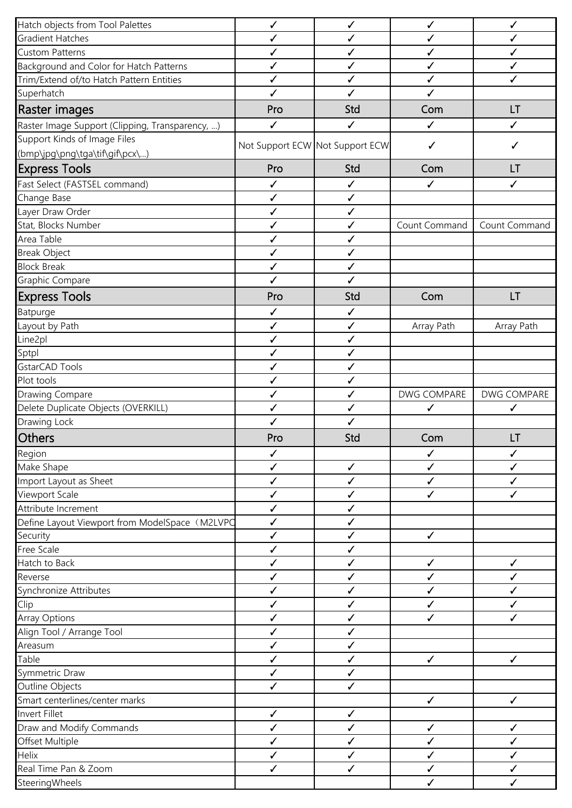| Hatch objects from Tool Palettes                | $\checkmark$ | ✓                               | $\checkmark$  | $\checkmark$       |
|-------------------------------------------------|--------------|---------------------------------|---------------|--------------------|
| Gradient Hatches                                | $\checkmark$ | ✓                               | $\checkmark$  | ✓                  |
| <b>Custom Patterns</b>                          | $\checkmark$ | $\checkmark$                    | $\checkmark$  | ✓                  |
| Background and Color for Hatch Patterns         | $\checkmark$ | ✓                               | $\checkmark$  | $\checkmark$       |
| Trim/Extend of/to Hatch Pattern Entities        | $\checkmark$ | $\checkmark$                    | $\checkmark$  | $\checkmark$       |
| Superhatch                                      | $\checkmark$ | ✓                               | $\checkmark$  |                    |
| Raster images                                   | Pro          | Std                             | Com           | LT                 |
| Raster Image Support (Clipping, Transparency, ) | $\checkmark$ | $\checkmark$                    | $\checkmark$  | $\checkmark$       |
| Support Kinds of Image Files                    |              | Not Support ECW Not Support ECW | $\checkmark$  | ✓                  |
| (bmp\jpg\png\tga\tif\gif\pcx\)                  |              |                                 |               |                    |
| <b>Express Tools</b>                            | Pro          | Std                             | Com           | LT                 |
| Fast Select (FASTSEL command)                   | $\checkmark$ | $\checkmark$                    | ✓             | ✓                  |
| Change Base                                     | $\checkmark$ | $\checkmark$                    |               |                    |
| Layer Draw Order                                | $\checkmark$ | $\checkmark$                    |               |                    |
| Stat, Blocks Number                             | $\checkmark$ | $\checkmark$                    | Count Command | Count Command      |
| Area Table                                      | $\checkmark$ | $\checkmark$                    |               |                    |
| <b>Break Object</b>                             | $\checkmark$ | $\checkmark$                    |               |                    |
| <b>Block Break</b>                              | $\checkmark$ | $\checkmark$                    |               |                    |
| Graphic Compare                                 | $\checkmark$ | $\checkmark$                    |               |                    |
| <b>Express Tools</b>                            | Pro          | Std                             | Com           | <b>LT</b>          |
| <b>Batpurge</b>                                 | ✓            | ✓                               |               |                    |
| Layout by Path                                  | $\checkmark$ | $\checkmark$                    | Array Path    | Array Path         |
| Line <sub>2pl</sub>                             | $\checkmark$ | $\checkmark$                    |               |                    |
| Sptpl                                           | ✓            | ✓                               |               |                    |
| GstarCAD Tools                                  | $\checkmark$ | $\checkmark$                    |               |                    |
| Plot tools                                      | ✓            | $\checkmark$                    |               |                    |
| Drawing Compare                                 | $\checkmark$ | $\checkmark$                    | DWG COMPARE   | <b>DWG COMPARE</b> |
| Delete Duplicate Objects (OVERKILL)             | $\checkmark$ | $\checkmark$                    | ✓             | ✓                  |
| Drawing Lock                                    | $\checkmark$ | $\checkmark$                    |               |                    |
|                                                 | Pro          | Std                             | Com           | LT                 |
| Others                                          |              |                                 |               |                    |
| Region                                          | $\checkmark$ |                                 | $\checkmark$  | ✓                  |
| Make Shape                                      | ✓            | ✓                               | ✓             | ✓                  |
| Import Layout as Sheet                          | ✓            | $\checkmark$                    | ✓             | ✓                  |
| Viewport Scale                                  | $\checkmark$ | $\checkmark$                    | ✓             | ✓                  |
| Attribute Increment                             | $\checkmark$ | ✓                               |               |                    |
| Define Layout Viewport from ModelSpace (M2LVPO  | $\checkmark$ | ✓                               |               |                    |
| Security                                        | ✓            | ✓                               | $\checkmark$  |                    |
| Free Scale                                      | ✓            | ✓                               |               |                    |
| Hatch to Back                                   | $\checkmark$ | $\checkmark$                    | $\checkmark$  | ✓                  |
| Reverse                                         | ✓            | ✓                               | ✓             | ✓                  |
| Synchronize Attributes                          | ✓            | ✓                               | ✓             | ✓                  |
| Clip                                            | $\checkmark$ | ✓                               | $\checkmark$  | ✓                  |
| <b>Array Options</b>                            | ✓            | ✓                               | ✓             | ✓                  |
| Align Tool / Arrange Tool                       | ✓            | $\checkmark$                    |               |                    |
| Areasum                                         | ✓            | $\checkmark$                    |               |                    |
| Table                                           | $\checkmark$ | $\checkmark$                    | $\checkmark$  | $\checkmark$       |
| Symmetric Draw                                  | $\checkmark$ | $\checkmark$                    |               |                    |
| Outline Objects                                 | $\checkmark$ | $\checkmark$                    |               |                    |
| Smart centerlines/center marks                  |              |                                 | $\checkmark$  | $\checkmark$       |
| Invert Fillet                                   | $\checkmark$ | $\checkmark$                    |               |                    |
| Draw and Modify Commands                        | ✓            | ✓                               | $\checkmark$  | ✓                  |
| Offset Multiple                                 | ✓            | ✓                               | ✓             | ✓                  |
| Helix                                           | ✓            | ✓                               | ✓             |                    |
| Real Time Pan & Zoom                            | $\checkmark$ | $\checkmark$                    | $\checkmark$  | ✓                  |
| SteeringWheels                                  |              |                                 | $\checkmark$  | $\checkmark$       |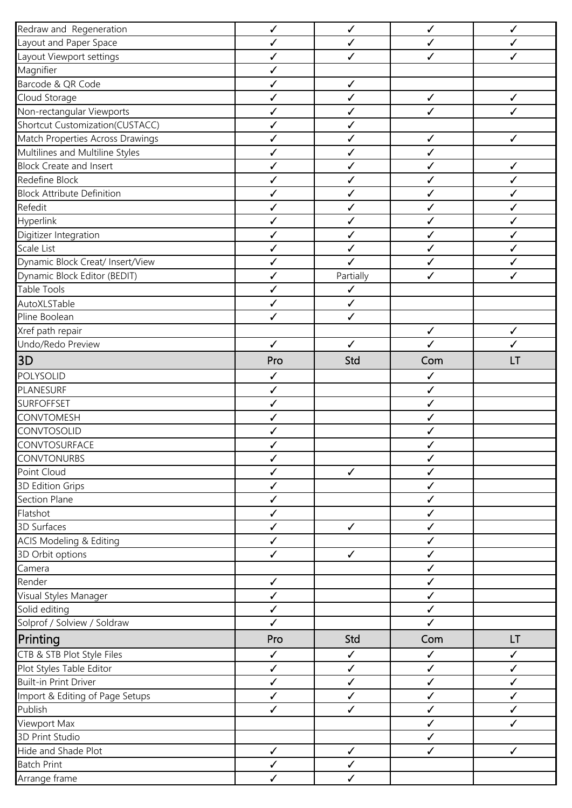| Redraw and Regeneration            | $\checkmark$                 | $\checkmark$ | $\checkmark$                 | $\checkmark$ |
|------------------------------------|------------------------------|--------------|------------------------------|--------------|
| Layout and Paper Space             | ✓                            | $\checkmark$ | $\checkmark$                 | ✓            |
| Layout Viewport settings           | $\checkmark$                 | ✓            | ✓                            | ✓            |
| Magnifier                          | ✓                            |              |                              |              |
| Barcode & QR Code                  | $\checkmark$                 | $\checkmark$ |                              |              |
| Cloud Storage                      | ✓                            | $\checkmark$ | $\checkmark$                 | ✓            |
| Non-rectangular Viewports          | $\checkmark$                 | $\checkmark$ | ✓                            | ✓            |
| Shortcut Customization(CUSTACC)    | $\checkmark$                 | $\checkmark$ |                              |              |
| Match Properties Across Drawings   | $\checkmark$                 | ✓            | $\checkmark$                 | $\checkmark$ |
| Multilines and Multiline Styles    | $\checkmark$                 | ✓            | ✓                            |              |
| <b>Block Create and Insert</b>     | ✓                            | $\checkmark$ | ✓                            | ✓            |
| Redefine Block                     | $\checkmark$                 | ✓            | ✓                            | ✓            |
| <b>Block Attribute Definition</b>  | $\checkmark$                 | $\checkmark$ | $\checkmark$                 | $\checkmark$ |
| Refedit                            | ✓                            | ✓            | ✓                            | ✓            |
| Hyperlink                          | ✓                            | $\checkmark$ | $\checkmark$                 | ✓            |
| Digitizer Integration              | $\checkmark$                 | $\checkmark$ | $\checkmark$                 | ✓            |
| Scale List                         | ✓                            | ✓            | ✓                            | ✓            |
| Dynamic Block Creat/ Insert/View   | $\checkmark$                 | $\checkmark$ | ✓                            | ✓            |
| Dynamic Block Editor (BEDIT)       | $\checkmark$                 | Partially    | ✓                            | ✓            |
| <b>Table Tools</b>                 | $\checkmark$                 | $\checkmark$ |                              |              |
| AutoXLSTable                       | $\checkmark$                 | $\checkmark$ |                              |              |
| Pline Boolean                      | $\checkmark$                 | $\checkmark$ |                              |              |
| Xref path repair                   |                              |              | $\checkmark$                 | ✓            |
| Undo/Redo Preview                  | $\checkmark$                 | $\checkmark$ | $\checkmark$                 | ✓            |
| 3D                                 | Pro                          | Std          | Com                          | LT           |
| POLYSOLID                          |                              |              |                              |              |
| PLANESURF                          | $\checkmark$<br>$\checkmark$ |              | $\checkmark$<br>$\checkmark$ |              |
| <b>SURFOFFSET</b>                  |                              |              |                              |              |
| CONVTOMESH                         | $\checkmark$<br>✓            |              | ✓<br>✓                       |              |
| CONVTOSOLID                        | ✓                            |              | ✓                            |              |
| CONVTOSURFACE                      | ✓                            |              | ✓                            |              |
| <b>CONVTONURBS</b>                 | $\checkmark$                 |              | $\checkmark$                 |              |
| Point Cloud                        | ✓                            | $\checkmark$ | ✓                            |              |
|                                    |                              |              | $\checkmark$                 |              |
| 3D Edition Grips<br>Section Plane  | ✓<br>$\checkmark$            |              | $\checkmark$                 |              |
| Flatshot                           | $\checkmark$                 |              | ✓                            |              |
| 3D Surfaces                        | $\checkmark$                 | $\checkmark$ | $\checkmark$                 |              |
|                                    | $\checkmark$                 |              |                              |              |
| <b>ACIS Modeling &amp; Editing</b> | $\checkmark$                 | $\checkmark$ | ✓<br>$\checkmark$            |              |
| 3D Orbit options                   |                              |              | $\checkmark$                 |              |
| Camera<br>Render                   | $\checkmark$                 |              | $\checkmark$                 |              |
| Visual Styles Manager              | $\checkmark$                 |              | $\checkmark$                 |              |
| Solid editing                      | $\checkmark$                 |              | $\checkmark$                 |              |
|                                    | $\checkmark$                 |              | $\checkmark$                 |              |
| Solprof / Solview / Soldraw        |                              |              |                              |              |
| Printing                           | Pro                          | Std          | Com                          | LT           |
| CTB & STB Plot Style Files         | $\checkmark$                 | $\checkmark$ | $\checkmark$                 | $\checkmark$ |
| Plot Styles Table Editor           | $\checkmark$                 | $\checkmark$ | $\checkmark$                 | $\checkmark$ |
| <b>Built-in Print Driver</b>       | $\checkmark$                 | $\checkmark$ | $\checkmark$                 | $\checkmark$ |
| Import & Editing of Page Setups    | $\checkmark$                 | $\checkmark$ | $\checkmark$                 | $\checkmark$ |
| Publish                            | $\checkmark$                 | $\checkmark$ | $\checkmark$                 | $\checkmark$ |
| Viewport Max                       |                              |              | $\checkmark$                 | $\checkmark$ |
| 3D Print Studio                    |                              |              | ✓                            |              |
| Hide and Shade Plot                | $\checkmark$                 | $\checkmark$ | $\checkmark$                 | $\checkmark$ |
| <b>Batch Print</b>                 | $\checkmark$                 | $\checkmark$ |                              |              |
| Arrange frame                      | $\checkmark$                 | $\checkmark$ |                              |              |